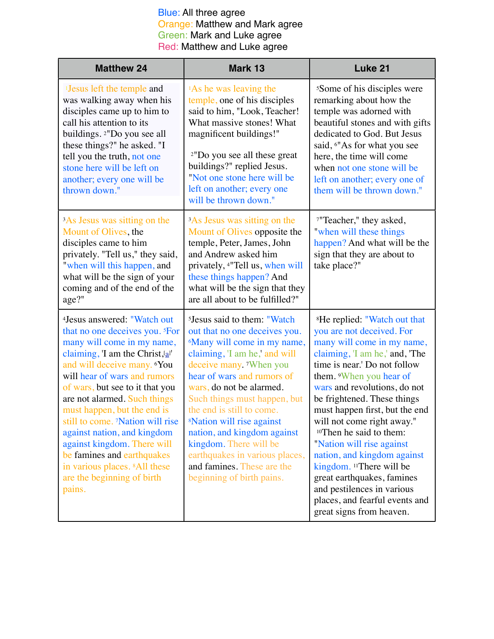| <b>Matthew 24</b>                                                                                                                                                                                                                                                                                                                                                                                                                                                                                                                                      | Mark 13                                                                                                                                                                                                                                                                                                                                                                                                                                                                                              | Luke 21                                                                                                                                                                                                                                                                                                                                                                                                                                                                                                                                                                                                    |
|--------------------------------------------------------------------------------------------------------------------------------------------------------------------------------------------------------------------------------------------------------------------------------------------------------------------------------------------------------------------------------------------------------------------------------------------------------------------------------------------------------------------------------------------------------|------------------------------------------------------------------------------------------------------------------------------------------------------------------------------------------------------------------------------------------------------------------------------------------------------------------------------------------------------------------------------------------------------------------------------------------------------------------------------------------------------|------------------------------------------------------------------------------------------------------------------------------------------------------------------------------------------------------------------------------------------------------------------------------------------------------------------------------------------------------------------------------------------------------------------------------------------------------------------------------------------------------------------------------------------------------------------------------------------------------------|
| <sup>1</sup> Jesus left the temple and<br>was walking away when his<br>disciples came up to him to<br>call his attention to its<br>buildings. <sup>2"</sup> Do you see all<br>these things?" he asked. "I<br>tell you the truth, not one<br>stone here will be left on<br>another; every one will be<br>thrown down."                                                                                                                                                                                                                                  | <sup>1</sup> As he was leaving the<br>temple, one of his disciples<br>said to him, "Look, Teacher!<br>What massive stones! What<br>magnificent buildings!"<br><sup>2"</sup> Do you see all these great<br>buildings?" replied Jesus.<br>"Not one stone here will be<br>left on another; every one<br>will be thrown down."                                                                                                                                                                           | <sup>5</sup> Some of his disciples were<br>remarking about how the<br>temple was adorned with<br>beautiful stones and with gifts<br>dedicated to God. But Jesus<br>said, 6"As for what you see<br>here, the time will come<br>when not one stone will be<br>left on another; every one of<br>them will be thrown down."                                                                                                                                                                                                                                                                                    |
| <sup>3</sup> As Jesus was sitting on the<br>Mount of Olives, the<br>disciples came to him<br>privately. "Tell us," they said,<br>"when will this happen, and<br>what will be the sign of your<br>coming and of the end of the<br>age?"                                                                                                                                                                                                                                                                                                                 | <sup>3</sup> As Jesus was sitting on the<br>Mount of Olives opposite the<br>temple, Peter, James, John<br>and Andrew asked him<br>privately, <sup>4"</sup> Tell us, when will<br>these things happen? And<br>what will be the sign that they<br>are all about to be fulfilled?"                                                                                                                                                                                                                      | <sup>7"</sup> Teacher," they asked,<br>"when will these things<br>happen? And what will be the<br>sign that they are about to<br>take place?"                                                                                                                                                                                                                                                                                                                                                                                                                                                              |
| <sup>4</sup> Jesus answered: "Watch out<br>that no one deceives you. <sup>5</sup> For<br>many will come in my name,<br>claiming, 'I am the Christ, $[a]$ '<br>and will deceive many. <b>You</b><br>will hear of wars and rumors<br>of wars, but see to it that you<br>are not alarmed. Such things<br>must happen, but the end is<br>still to come. 7Nation will rise<br>against nation, and kingdom<br>against kingdom. There will<br>be famines and earthquakes<br>in various places. <sup>8</sup> All these<br>are the beginning of birth<br>pains. | <sup>5</sup> Jesus said to them: "Watch<br>out that no one deceives you.<br><sup>6</sup> Many will come in my name,<br>claiming, 'I am he,' and will<br>deceive many. When you<br>hear of wars and rumors of<br>wars, do not be alarmed.<br>Such things must happen, but<br>the end is still to come.<br><sup>8</sup> Nation will rise against<br>nation, and kingdom against<br>kingdom. There will be<br>earthquakes in various places,<br>and famines. These are the<br>beginning of birth pains. | <sup>8</sup> He replied: "Watch out that<br>you are not deceived. For<br>many will come in my name,<br>claiming, 'I am he,' and, 'The<br>time is near.' Do not follow<br>them. <i>When you hear of</i><br>wars and revolutions, do not<br>be frightened. These things<br>must happen first, but the end<br>will not come right away."<br><sup>10</sup> Then he said to them:<br>"Nation will rise against<br>nation, and kingdom against<br>kingdom. <sup>11</sup> There will be<br>great earthquakes, famines<br>and pestilences in various<br>places, and fearful events and<br>great signs from heaven. |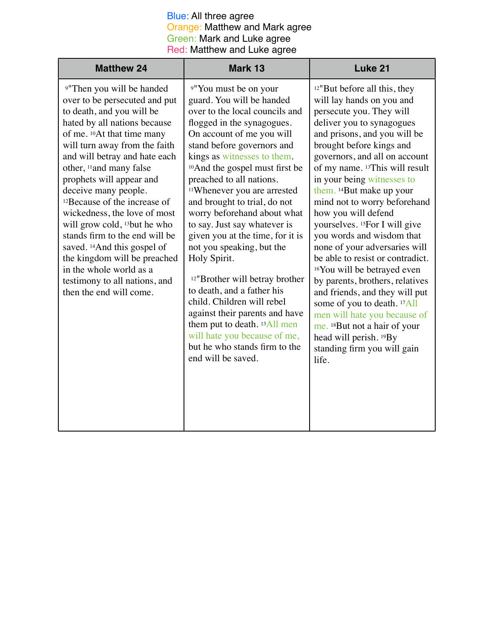| <b>Matthew 24</b>                                                                                                                                                                                                                                                                                                                                                                                                                                                                                                                                                                                                                                                      | Mark 13                                                                                                                                                                                                                                                                                                                                                                                                                                                                                                                                                                                                                                                                                                                                                                                                      | Luke 21                                                                                                                                                                                                                                                                                                                                                                                                                                                                                                                                                                                                                                                                                                                                                                                               |
|------------------------------------------------------------------------------------------------------------------------------------------------------------------------------------------------------------------------------------------------------------------------------------------------------------------------------------------------------------------------------------------------------------------------------------------------------------------------------------------------------------------------------------------------------------------------------------------------------------------------------------------------------------------------|--------------------------------------------------------------------------------------------------------------------------------------------------------------------------------------------------------------------------------------------------------------------------------------------------------------------------------------------------------------------------------------------------------------------------------------------------------------------------------------------------------------------------------------------------------------------------------------------------------------------------------------------------------------------------------------------------------------------------------------------------------------------------------------------------------------|-------------------------------------------------------------------------------------------------------------------------------------------------------------------------------------------------------------------------------------------------------------------------------------------------------------------------------------------------------------------------------------------------------------------------------------------------------------------------------------------------------------------------------------------------------------------------------------------------------------------------------------------------------------------------------------------------------------------------------------------------------------------------------------------------------|
| <sup>9"</sup> Then you will be handed<br>over to be persecuted and put<br>to death, and you will be<br>hated by all nations because<br>of me. <sup>10</sup> At that time many<br>will turn away from the faith<br>and will betray and hate each<br>other, <sup>11</sup> and many false<br>prophets will appear and<br>deceive many people.<br><sup>12</sup> Because of the increase of<br>wickedness, the love of most<br>will grow cold, <sup>13</sup> but he who<br>stands firm to the end will be<br>saved. <sup>14</sup> And this gospel of<br>the kingdom will be preached<br>in the whole world as a<br>testimony to all nations, and<br>then the end will come. | <sup>9"</sup> You must be on your<br>guard. You will be handed<br>over to the local councils and<br>flogged in the synagogues.<br>On account of me you will<br>stand before governors and<br>kings as witnesses to them.<br><sup>10</sup> And the gospel must first be<br>preached to all nations.<br><sup>11</sup> Whenever you are arrested<br>and brought to trial, do not<br>worry beforehand about what<br>to say. Just say whatever is<br>given you at the time, for it is<br>not you speaking, but the<br>Holy Spirit.<br><sup>12"</sup> Brother will betray brother<br>to death, and a father his<br>child. Children will rebel<br>against their parents and have<br>them put to death. <sup>13</sup> All men<br>will hate you because of me,<br>but he who stands firm to the<br>end will be saved. | $12$ "But before all this, they<br>will lay hands on you and<br>persecute you. They will<br>deliver you to synagogues<br>and prisons, and you will be<br>brought before kings and<br>governors, and all on account<br>of my name. 13This will result<br>in your being witnesses to<br>them. 14But make up your<br>mind not to worry beforehand<br>how you will defend<br>yourselves. <sup>15</sup> For I will give<br>you words and wisdom that<br>none of your adversaries will<br>be able to resist or contradict.<br><sup>16</sup> You will be betrayed even<br>by parents, brothers, relatives<br>and friends, and they will put<br>some of you to death. 17All<br>men will hate you because of<br>me. 18But not a hair of your<br>head will perish. 19By<br>standing firm you will gain<br>life. |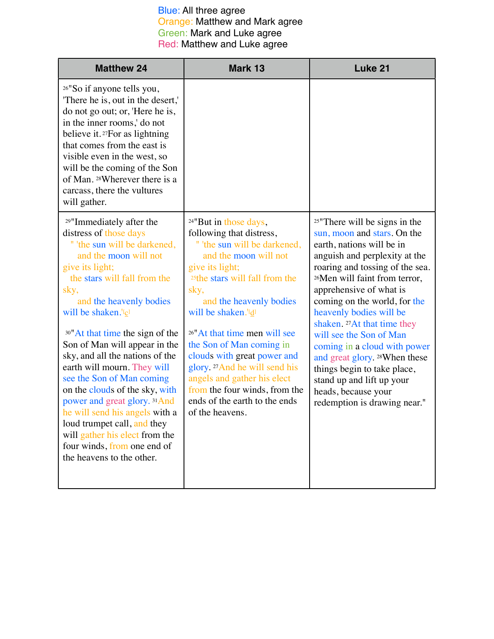| <b>Matthew 24</b>                                                                                                                                                                                                                                                                                                                                                                                                                                                                                                                                                                                                                                                            | Mark 13                                                                                                                                                                                                                                                                                                                                                                                                                                                                                                                               | Luke 21                                                                                                                                                                                                                                                                                                                                                                                                                                                                                                                                                                |
|------------------------------------------------------------------------------------------------------------------------------------------------------------------------------------------------------------------------------------------------------------------------------------------------------------------------------------------------------------------------------------------------------------------------------------------------------------------------------------------------------------------------------------------------------------------------------------------------------------------------------------------------------------------------------|---------------------------------------------------------------------------------------------------------------------------------------------------------------------------------------------------------------------------------------------------------------------------------------------------------------------------------------------------------------------------------------------------------------------------------------------------------------------------------------------------------------------------------------|------------------------------------------------------------------------------------------------------------------------------------------------------------------------------------------------------------------------------------------------------------------------------------------------------------------------------------------------------------------------------------------------------------------------------------------------------------------------------------------------------------------------------------------------------------------------|
| <sup>26"</sup> So if anyone tells you,<br>There he is, out in the desert,<br>do not go out; or, 'Here he is,<br>in the inner rooms,' do not<br>believe it. <sup>27</sup> For as lightning<br>that comes from the east is<br>visible even in the west, so<br>will be the coming of the Son<br>of Man. 28Wherever there is a<br>carcass, there the vultures<br>will gather.                                                                                                                                                                                                                                                                                                    |                                                                                                                                                                                                                                                                                                                                                                                                                                                                                                                                       |                                                                                                                                                                                                                                                                                                                                                                                                                                                                                                                                                                        |
| <sup>29"</sup> Immediately after the<br>distress of those days<br>" 'the sun will be darkened,<br>and the moon will not<br>give its light;<br>the stars will fall from the<br>sky,<br>and the heavenly bodies<br>will be shaken. <sup>'[c]</sup><br><sup>30"</sup> At that time the sign of the<br>Son of Man will appear in the<br>sky, and all the nations of the<br>earth will mourn. They will<br>see the Son of Man coming<br>on the clouds of the sky, with<br>power and great glory. <sup>31</sup> And<br>he will send his angels with a<br>loud trumpet call, and they<br>will gather his elect from the<br>four winds, from one end of<br>the heavens to the other. | <sup>24"</sup> But in those days,<br>following that distress,<br>" 'the sun will be darkened,<br>and the moon will not<br>give its light;<br><sup>25</sup> the stars will fall from the<br>sky,<br>and the heavenly bodies<br>will be shaken. <sup>'[d]</sup><br><sup>26"</sup> At that time men will see<br>the Son of Man coming in<br>clouds with great power and<br>glory. <sup>27</sup> And he will send his<br>angels and gather his elect<br>from the four winds, from the<br>ends of the earth to the ends<br>of the heavens. | <sup>25"</sup> There will be signs in the<br>sun, moon and stars. On the<br>earth, nations will be in<br>anguish and perplexity at the<br>roaring and tossing of the sea.<br><sup>26</sup> Men will faint from terror,<br>apprehensive of what is<br>coming on the world, for the<br>heavenly bodies will be<br>shaken. <sup>27</sup> At that time they<br>will see the Son of Man<br>coming in a cloud with power<br>and great glory. 28When these<br>things begin to take place,<br>stand up and lift up your<br>heads, because your<br>redemption is drawing near." |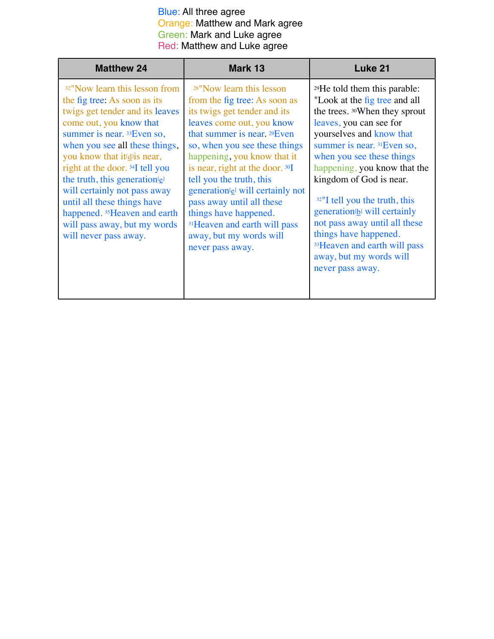| <b>Matthew 24</b>                                                                                                                                                                                                                                                                                                                                                                                                                                                                             | Mark 13                                                                                                                                                                                                                                                                                                                                                                                                                                                                                              | Luke 21                                                                                                                                                                                                                                                                                                                                                                                                                                                                                                            |
|-----------------------------------------------------------------------------------------------------------------------------------------------------------------------------------------------------------------------------------------------------------------------------------------------------------------------------------------------------------------------------------------------------------------------------------------------------------------------------------------------|------------------------------------------------------------------------------------------------------------------------------------------------------------------------------------------------------------------------------------------------------------------------------------------------------------------------------------------------------------------------------------------------------------------------------------------------------------------------------------------------------|--------------------------------------------------------------------------------------------------------------------------------------------------------------------------------------------------------------------------------------------------------------------------------------------------------------------------------------------------------------------------------------------------------------------------------------------------------------------------------------------------------------------|
| <sup>32"</sup> Now learn this lesson from<br>the fig tree: As soon as its<br>twigs get tender and its leaves<br>come out, you know that<br>summer is near. 33 Even so,<br>when you see all these things,<br>you know that it d <sup>j</sup> is near,<br>right at the door. 34I tell you<br>the truth, this generation <sup>[e]</sup><br>will certainly not pass away<br>until all these things have<br>happened. 35 Heaven and earth<br>will pass away, but my words<br>will never pass away. | <sup>28"</sup> Now learn this lesson<br>from the fig tree: As soon as<br>its twigs get tender and its<br>leaves come out, you know<br>that summer is near, $29$ Even<br>so, when you see these things<br>happening, you know that it<br>is near, right at the door. 30I<br>tell you the truth, this<br>generation <sup>[e]</sup> will certainly not<br>pass away until all these<br>things have happened.<br><sup>31</sup> Heaven and earth will pass<br>away, but my words will<br>never pass away. | <sup>29</sup> He told them this parable:<br>"Look at the fig tree and all<br>the trees. 30When they sprout<br>leaves, you can see for<br>yourselves and know that<br>summer is near. 31 Even so,<br>when you see these things<br>happening, you know that the<br>kingdom of God is near.<br>$32$ "I tell you the truth, this<br>generation <sup>[b]</sup> will certainly<br>not pass away until all these<br>things have happened.<br>33 Heaven and earth will pass<br>away, but my words will<br>never pass away. |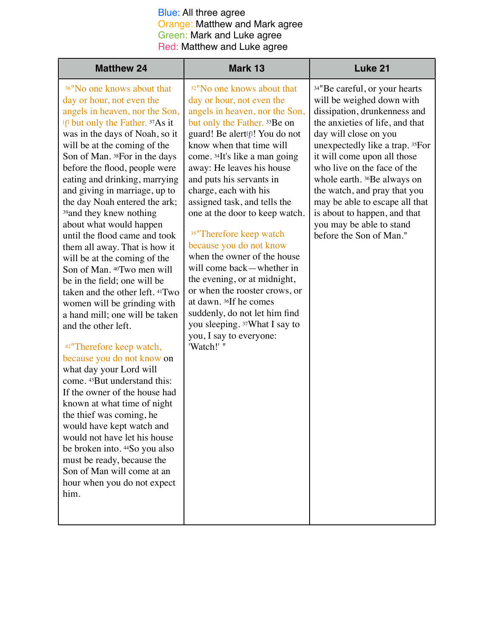| <b>Matthew 24</b>                                                                                                                                                                                                                                                                                                                                                                                                                                                                                                                                                                                                                                                                                                                                                                                                                                                                                                                                                                                                                                                                                                                                                                                              | Mark 13                                                                                                                                                                                                                                                                                                                                                                                                                                                                                                                                                                                                                                                                                                                                   | Luke 21                                                                                                                                                                                                                                                                                                                                                                                                                                         |
|----------------------------------------------------------------------------------------------------------------------------------------------------------------------------------------------------------------------------------------------------------------------------------------------------------------------------------------------------------------------------------------------------------------------------------------------------------------------------------------------------------------------------------------------------------------------------------------------------------------------------------------------------------------------------------------------------------------------------------------------------------------------------------------------------------------------------------------------------------------------------------------------------------------------------------------------------------------------------------------------------------------------------------------------------------------------------------------------------------------------------------------------------------------------------------------------------------------|-------------------------------------------------------------------------------------------------------------------------------------------------------------------------------------------------------------------------------------------------------------------------------------------------------------------------------------------------------------------------------------------------------------------------------------------------------------------------------------------------------------------------------------------------------------------------------------------------------------------------------------------------------------------------------------------------------------------------------------------|-------------------------------------------------------------------------------------------------------------------------------------------------------------------------------------------------------------------------------------------------------------------------------------------------------------------------------------------------------------------------------------------------------------------------------------------------|
| <sup>36"</sup> No one knows about that<br>day or hour, not even the<br>angels in heaven, nor the Son,<br><sup>[[]</sup> but only the Father. <sup>37</sup> As it<br>was in the days of Noah, so it<br>will be at the coming of the<br>Son of Man. 38For in the days<br>before the flood, people were<br>eating and drinking, marrying<br>and giving in marriage, up to<br>the day Noah entered the ark;<br><sup>39</sup> and they knew nothing<br>about what would happen<br>until the flood came and took<br>them all away. That is how it<br>will be at the coming of the<br>Son of Man. <sup>40</sup> Two men will<br>be in the field; one will be<br>taken and the other left. 41Two<br>women will be grinding with<br>a hand mill; one will be taken<br>and the other left.<br><sup>42</sup> "Therefore keep watch,<br>because you do not know on<br>what day your Lord will<br>come. 43But understand this:<br>If the owner of the house had<br>known at what time of night<br>the thief was coming, he<br>would have kept watch and<br>would not have let his house<br>be broken into. 44So you also<br>must be ready, because the<br>Son of Man will come at an<br>hour when you do not expect<br>him. | <sup>32"</sup> No one knows about that<br>day or hour, not even the<br>angels in heaven, nor the Son,<br>but only the Father. 33Be on<br>guard! Be alert <sup>[1]</sup> ! You do not<br>know when that time will<br>come. 34It's like a man going<br>away: He leaves his house<br>and puts his servants in<br>charge, each with his<br>assigned task, and tells the<br>one at the door to keep watch.<br><sup>35"</sup> Therefore keep watch<br>because you do not know<br>when the owner of the house<br>will come back—whether in<br>the evening, or at midnight,<br>or when the rooster crows, or<br>at dawn. 36If he comes<br>suddenly, do not let him find<br>you sleeping. 37What I say to<br>you, I say to everyone:<br>'Watch!' " | 34"Be careful, or your hearts<br>will be weighed down with<br>dissipation, drunkenness and<br>the anxieties of life, and that<br>day will close on you<br>unexpectedly like a trap. 35For<br>it will come upon all those<br>who live on the face of the<br>whole earth. 36Be always on<br>the watch, and pray that you<br>may be able to escape all that<br>is about to happen, and that<br>you may be able to stand<br>before the Son of Man." |